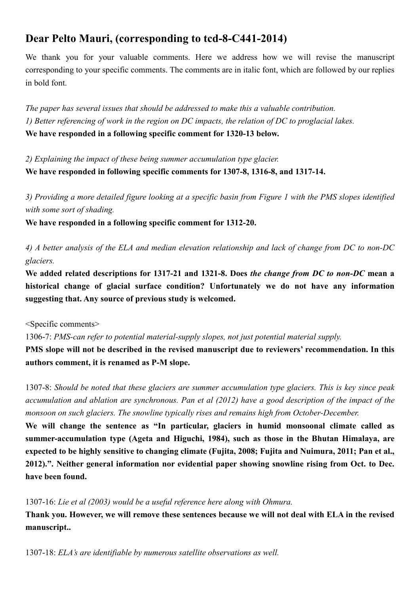## **Dear Pelto Mauri, (corresponding to tcd-8-C441-2014)**

We thank you for your valuable comments. Here we address how we will revise the manuscript corresponding to your specific comments. The comments are in italic font, which are followed by our replies in bold font.

*The paper has several issues that should be addressed to make this a valuable contribution. 1) Better referencing of work in the region on DC impacts, the relation of DC to proglacial lakes.*  **We have responded in a following specific comment for 1320-13 below.**

*2) Explaining the impact of these being summer accumulation type glacier.*  **We have responded in following specific comments for 1307-8, 1316-8, and 1317-14.** 

*3) Providing a more detailed figure looking at a specific basin from Figure 1 with the PMS slopes identified with some sort of shading.* 

**We have responded in a following specific comment for 1312-20.** 

*4) A better analysis of the ELA and median elevation relationship and lack of change from DC to non-DC glaciers.* 

**We added related descriptions for 1317-21 and 1321-8. Does** *the change from DC to non-DC* **mean a historical change of glacial surface condition? Unfortunately we do not have any information suggesting that. Any source of previous study is welcomed.** 

<Specific comments>

1306-7: *PMS-can refer to potential material-supply slopes, not just potential material supply.* 

**PMS slope will not be described in the revised manuscript due to reviewers' recommendation. In this authors comment, it is renamed as P-M slope.** 

1307-8: *Should be noted that these glaciers are summer accumulation type glaciers. This is key since peak accumulation and ablation are synchronous. Pan et al (2012) have a good description of the impact of the monsoon on such glaciers. The snowline typically rises and remains high from October-December.* 

**We will change the sentence as "In particular, glaciers in humid monsoonal climate called as summer-accumulation type (Ageta and Higuchi, 1984), such as those in the Bhutan Himalaya, are expected to be highly sensitive to changing climate (Fujita, 2008; Fujita and Nuimura, 2011; Pan et al., 2012).". Neither general information nor evidential paper showing snowline rising from Oct. to Dec. have been found.** 

1307-16: *Lie et al (2003) would be a useful reference here along with Ohmura.* 

**Thank you. However, we will remove these sentences because we will not deal with ELA in the revised manuscript..** 

1307-18: *ELA's are identifiable by numerous satellite observations as well.*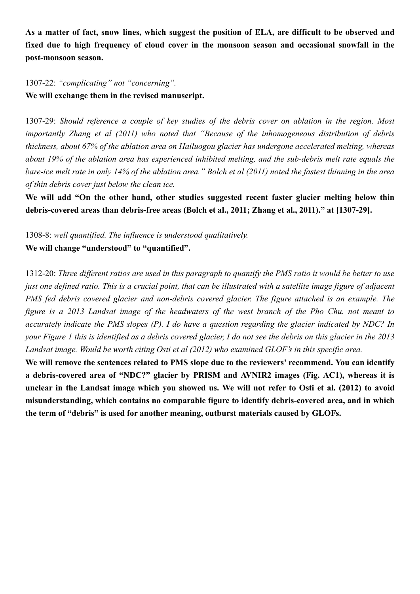**As a matter of fact, snow lines, which suggest the position of ELA, are difficult to be observed and fixed due to high frequency of cloud cover in the monsoon season and occasional snowfall in the post-monsoon season.** 

1307-22: *"complicating" not "concerning".*  **We will exchange them in the revised manuscript.** 

1307-29: *Should reference a couple of key studies of the debris cover on ablation in the region. Most importantly Zhang et al (2011) who noted that "Because of the inhomogeneous distribution of debris thickness, about 67% of the ablation area on Hailuogou glacier has undergone accelerated melting, whereas about 19% of the ablation area has experienced inhibited melting, and the sub-debris melt rate equals the bare-ice melt rate in only 14% of the ablation area." Bolch et al (2011) noted the fastest thinning in the area of thin debris cover just below the clean ice.* 

We will add "On the other hand, other studies suggested recent faster glacier melting below thin **debris-covered areas than debris-free areas (Bolch et al., 2011; Zhang et al., 2011)." at [1307-29].** 

1308-8: *well quantified. The influence is understood qualitatively.*  **We will change "understood" to "quantified".** 

1312-20: *Three different ratios are used in this paragraph to quantify the PMS ratio it would be better to use just one defined ratio. This is a crucial point, that can be illustrated with a satellite image figure of adjacent PMS fed debris covered glacier and non-debris covered glacier. The figure attached is an example. The figure is a 2013 Landsat image of the headwaters of the west branch of the Pho Chu. not meant to accurately indicate the PMS slopes (P). I do have a question regarding the glacier indicated by NDC? In your Figure 1 this is identified as a debris covered glacier, I do not see the debris on this glacier in the 2013 Landsat image. Would be worth citing Osti et al (2012) who examined GLOF's in this specific area.* 

**We will remove the sentences related to PMS slope due to the reviewers' recommend. You can identify a debris-covered area of "NDC?" glacier by PRISM and AVNIR2 images (Fig. AC1), whereas it is unclear in the Landsat image which you showed us. We will not refer to Osti et al. (2012) to avoid misunderstanding, which contains no comparable figure to identify debris-covered area, and in which the term of "debris" is used for another meaning, outburst materials caused by GLOFs.**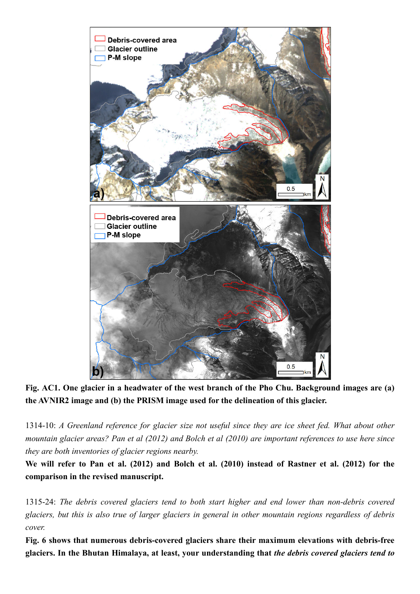

**Fig. AC1. One glacier in a headwater of the west branch of the Pho Chu. Background images are (a) the AVNIR2 image and (b) the PRISM image used for the delineation of this glacier.** 

1314-10: *A Greenland reference for glacier size not useful since they are ice sheet fed. What about other mountain glacier areas? Pan et al (2012) and Bolch et al (2010) are important references to use here since they are both inventories of glacier regions nearby.* 

**We will refer to Pan et al. (2012) and Bolch et al. (2010) instead of Rastner et al. (2012) for the comparison in the revised manuscript.** 

1315-24: *The debris covered glaciers tend to both start higher and end lower than non-debris covered glaciers, but this is also true of larger glaciers in general in other mountain regions regardless of debris cover.* 

**Fig. 6 shows that numerous debris-covered glaciers share their maximum elevations with debris-free glaciers. In the Bhutan Himalaya, at least, your understanding that** *the debris covered glaciers tend to*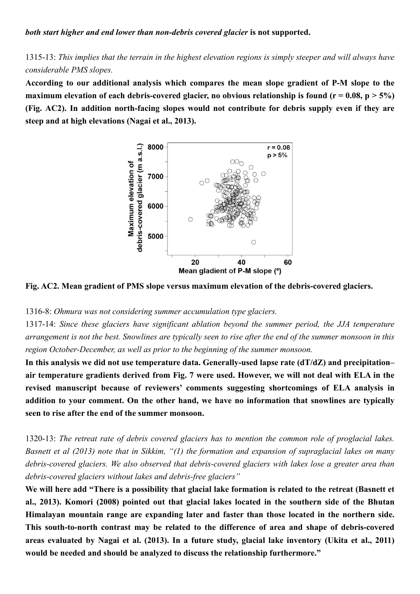1315-13: *This implies that the terrain in the highest elevation regions is simply steeper and will always have considerable PMS slopes.*

**According to our additional analysis which compares the mean slope gradient of P-M slope to the maximum elevation of each debris-covered glacier, no obvious relationship is found (** $r = 0.08$ **,**  $p > 5\%$ **) (Fig. AC2). In addition north-facing slopes would not contribute for debris supply even if they are steep and at high elevations (Nagai et al., 2013).** 



**Fig. AC2. Mean gradient of PMS slope versus maximum elevation of the debris-covered glaciers.** 

1316-8: *Ohmura was not considering summer accumulation type glaciers.* 

1317-14: *Since these glaciers have significant ablation beyond the summer period, the JJA temperature arrangement is not the best. Snowlines are typically seen to rise after the end of the summer monsoon in this region October-December, as well as prior to the beginning of the summer monsoon.*

**In this analysis we did not use temperature data. Generally-used lapse rate (dT/dZ) and precipitation– air temperature gradients derived from Fig. 7 were used. However, we will not deal with ELA in the revised manuscript because of reviewers' comments suggesting shortcomings of ELA analysis in addition to your comment. On the other hand, we have no information that snowlines are typically seen to rise after the end of the summer monsoon.** 

1320-13: *The retreat rate of debris covered glaciers has to mention the common role of proglacial lakes. Basnett et al (2013) note that in Sikkim, "(1) the formation and expansion of supraglacial lakes on many debris-covered glaciers. We also observed that debris-covered glaciers with lakes lose a greater area than debris-covered glaciers without lakes and debris-free glaciers"* 

**We will here add "There is a possibility that glacial lake formation is related to the retreat (Basnett et al., 2013). Komori (2008) pointed out that glacial lakes located in the southern side of the Bhutan Himalayan mountain range are expanding later and faster than those located in the northern side. This south-to-north contrast may be related to the difference of area and shape of debris-covered areas evaluated by Nagai et al. (2013). In a future study, glacial lake inventory (Ukita et al., 2011) would be needed and should be analyzed to discuss the relationship furthermore."**